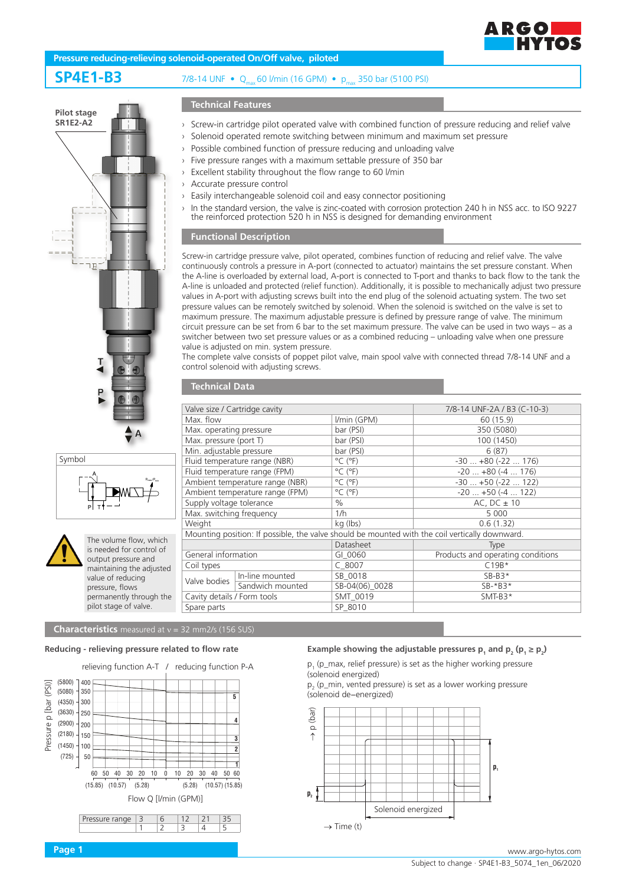

## **Pressure reducing-relieving solenoid-operated On/Off valve, piloted**

**SP4E1-B3** 7/8-14 UNF • Qmax 60 l/min (16 GPM) • pmax 350 bar (5100 PSI)



$$
\begin{array}{|c|c|}\n\hline\n\text{Symbol} & \text{P} & \text{P} & \text{P} & \text{P} \\
\hline\n\text{P} & \text{P} & \text{P} & \text{P} & \text{P} & \text{P} \\
\hline\n\text{P} & \text{P} & \text{T} & \text{P} & \text{P} & \text{P} & \text{P} \\
\hline\n\end{array}
$$



The volume flow, which is needed for control of output pressure and maintaining the adjusted value of reducing pressure, flows permanently through the pilot stage of valve.

# **Technical Features**

- › Screw-in cartridge pilot operated valve with combined function of pressure reducing and relief valve
- › Solenoid operated remote switching between minimum and maximum set pressure
- › Possible combined function of pressure reducing and unloading valve
- › Five pressure ranges with a maximum settable pressure of 350 bar
- › Excellent stability throughout the flow range to 60 l/min
- › Accurate pressure control
- › Easily interchangeable solenoid coil and easy connector positioning
	- In the standard version, the valve is zinc-coated with corrosion protection 240 h in NSS acc. to ISO 9227 the reinforced protection 520 h in NSS is designed for demanding environment

# **Functional Description**

**Technical Data**

Screw-in cartridge pressure valve, pilot operated, combines function of reducing and relief valve. The valve continuously controls a pressure in A-port (connected to actuator) maintains the set pressure constant. When the A-line is overloaded by external load, A-port is connected to T-port and thanks to back flow to the tank the A-line is unloaded and protected (relief function). Additionally, it is possible to mechanically adjust two pressure values in A-port with adjusting screws built into the end plug of the solenoid actuating system. The two set pressure values can be remotely switched by solenoid. When the solenoid is switched on the valve is set to maximum pressure. The maximum adjustable pressure is defined by pressure range of valve. The minimum circuit pressure can be set from 6 bar to the set maximum pressure. The valve can be used in two ways – as a switcher between two set pressure values or as a combined reducing – unloading valve when one pressure value is adjusted on min. system pressure.

The complete valve consists of poppet pilot valve, main spool valve with connected thread 7/8-14 UNF and a control solenoid with adjusting screws.

| Valve size / Cartridge cavity   |                  |                              | 7/8-14 UNF-2A / B3 (C-10-3)                                                                    |
|---------------------------------|------------------|------------------------------|------------------------------------------------------------------------------------------------|
| Max. flow                       |                  | I/min (GPM)                  | 60 (15.9)                                                                                      |
| Max. operating pressure         |                  | bar (PSI)                    | 350 (5080)                                                                                     |
| Max. pressure (port T)          |                  |                              |                                                                                                |
|                                 |                  | bar (PSI)                    | 100 (1450)                                                                                     |
| Min. adjustable pressure        |                  | bar (PSI)                    | 6(87)                                                                                          |
| Fluid temperature range (NBR)   |                  | $^{\circ}$ C ( $^{\circ}$ F) | $-30+80(-22176)$                                                                               |
| Fluid temperature range (FPM)   |                  | $^{\circ}$ C ( $^{\circ}$ F) | $-20+80(-4176)$                                                                                |
| Ambient temperature range (NBR) |                  | $^{\circ}$ C ( $^{\circ}$ F) | $-30+50(-22122)$                                                                               |
| Ambient temperature range (FPM) |                  | $^{\circ}$ C ( $^{\circ}$ F) | $-20$ $+50$ ( $-4$ 122)                                                                        |
| Supply voltage tolerance        |                  | $\%$                         | AC, DC $\pm$ 10                                                                                |
| Max. switching frequency        |                  | 1/h                          | 5 0 0 0                                                                                        |
| Weight                          |                  | kg (lbs)                     | 0.6(1.32)                                                                                      |
|                                 |                  |                              | Mounting position: If possible, the valve should be mounted with the coil vertically downward. |
|                                 |                  | Datasheet                    | Type                                                                                           |
| General information             |                  | GI 0060                      | Products and operating conditions                                                              |
| Coil types                      |                  | $C$ 8007                     | $C19B*$                                                                                        |
| Valve bodies                    | In-line mounted  | SB 0018                      | $SB-B3*$                                                                                       |
|                                 | Sandwich mounted | SB-04(06) 0028               | $SB-*B3*$                                                                                      |
| Cavity details / Form tools     |                  | SMT 0019                     | $SMT-B3*$                                                                                      |
| Spare parts                     |                  | SP 8010                      |                                                                                                |

# **Characteristics** measured at v = 32 mm2/s (156 SUS)

## **Reducing - relieving pressure related to flow rate**

relieving function A-T / reducing function P-A

 $1 \quad |2 \quad |3 \quad |4 \quad |5$ 



## **Example showing the adjustable pressures**  $p_1$  **and**  $p_2$  **(** $p_1 \ge p_2$ **)**

 $p_1$  (p\_max, relief pressure) is set as the higher working pressure (solenoid energized)

 $p_2$  (p\_min, vented pressure) is set as a lower working pressure (solenoid de−energized)